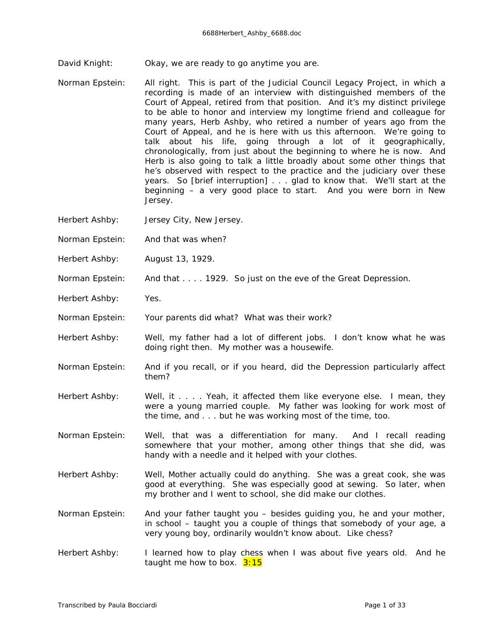David Knight: Okay, we are ready to go anytime you are.

- Norman Epstein: All right. This is part of the Judicial Council Legacy Project, in which a recording is made of an interview with distinguished members of the Court of Appeal, retired from that position. And it's my distinct privilege to be able to honor and interview my longtime friend and colleague for many years, Herb Ashby, who retired a number of years ago from the Court of Appeal, and he is here with us this afternoon. We're going to talk about his life, going through a lot of it geographically, chronologically, from just about the beginning to where he is now. And Herb is also going to talk a little broadly about some other things that he's observed with respect to the practice and the judiciary over these years. So *[brief interruption]* . . . glad to know that. We'll start at the beginning – a very good place to start. And you were born in New Jersey.
- Herbert Ashby: Jersey City, New Jersey.
- Norman Epstein: And that was when?
- Herbert Ashby: August 13, 1929.
- Norman Epstein: And that . . . . 1929. So just on the eve of the Great Depression.
- Herbert Ashby: Yes.
- Norman Epstein: Your parents did what? What was their work?
- Herbert Ashby: Well, my father had a lot of different jobs. I don't know what he was doing right then. My mother was a housewife.
- Norman Epstein: And if you recall, or if you heard, did the Depression particularly affect them?
- Herbert Ashby: Well, it . . . . Yeah, it affected them like everyone else. I mean, they were a young married couple. My father was looking for work most of the time, and . . . but he was working most of the time, too.
- Norman Epstein: Well, that was a differentiation for many. And I recall reading somewhere that your mother, among other things that she did, was handy with a needle and it helped with your clothes.
- Herbert Ashby: Well, Mother actually could do anything. She was a great cook, she was good at everything. She was especially good at sewing. So later, when my brother and I went to school, she did make our clothes.
- Norman Epstein: And your father taught you besides guiding you, he and your mother, in school – taught you a couple of things that somebody of your age, a very young boy, ordinarily wouldn't know about. Like chess?
- Herbert Ashby: I learned how to play chess when I was about five years old. And he taught me how to box.  $3:15$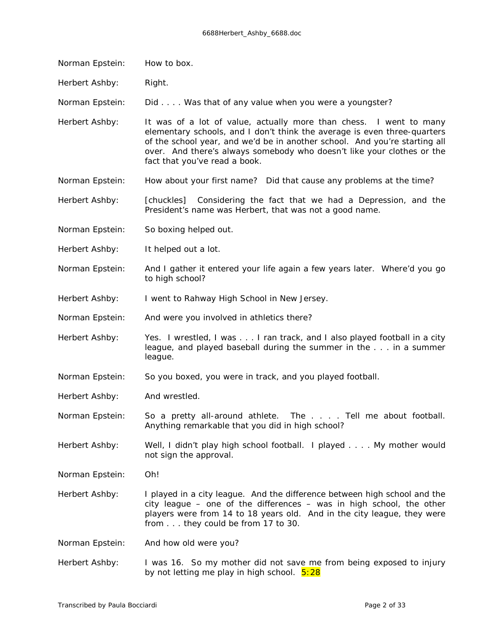Norman Epstein: How to box.

Herbert Ashby: Right.

Norman Epstein: Did . . . . Was that of any value when you were a youngster?

Herbert Ashby: It was of a *lot* of value, actually more than chess. I went to many elementary schools, and I don't think the average is even three-quarters of the school year, and we'd be in another school. And you're starting all over. And there's always somebody who doesn't like your clothes or the fact that you've read a book.

Norman Epstein: How about your first name? Did that cause any problems at the time?

Herbert Ashby: *[chuckles]* Considering the fact that we had a Depression, and the President's name was Herbert, that was not a good name.

- Norman Epstein: So boxing helped out.
- Herbert Ashby: It helped out a lot.
- Norman Epstein: And I gather it entered your life again a few years later. Where'd you go to high school?
- Herbert Ashby: I went to Rahway High School in New Jersey.
- Norman Epstein: And were you involved in athletics there?
- Herbert Ashby: Yes. I wrestled, I was . . . I ran track, and I also played football in a city league, and played baseball during the summer in the . . . in a summer league.
- Norman Epstein: So you boxed, you were in track, and you played football.

Herbert Ashby: And wrestled.

Norman Epstein: So a pretty all-around athlete. The . . . . Tell me about football. Anything remarkable that you did in high school?

Herbert Ashby: Well, I didn't play high school football. I played . . . My mother would not sign the approval.

Norman Epstein: Oh!

Herbert Ashby: I played in a city league. And the difference between high school and the city league – one of the differences – was in high school, the other players were from 14 to 18 years old. And in the city league, they were from . . . they could be from 17 to 30.

Norman Epstein: And how old were *you*?

Herbert Ashby: I was 16. So my mother did not save me from being exposed to injury by not letting me play in high school.  $5:28$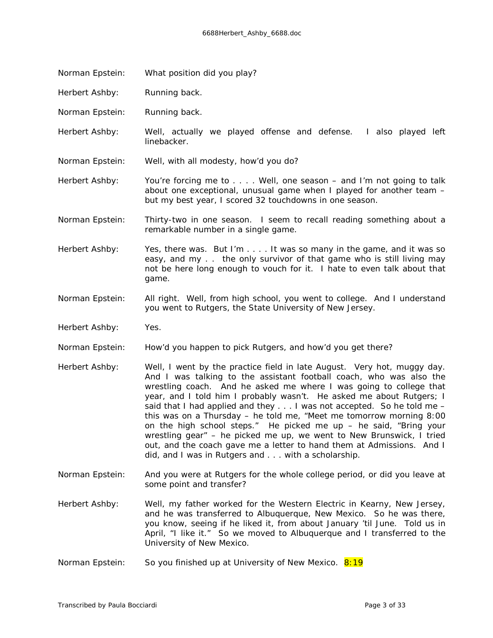- Norman Epstein: What position did you play?
- Herbert Ashby: Running back.
- Norman Epstein: Running back.
- Herbert Ashby: Well, actually we played offense and defense. I also played left linebacker.
- Norman Epstein: Well, with all modesty, how'd you do?
- Herbert Ashby: You're forcing me to . . . Well, one season and I'm not going to talk about one exceptional, unusual game when I played for another team – but my best year, I scored 32 touchdowns in one season.
- Norman Epstein: Thirty-two in one season. I seem to recall reading something about a remarkable number in a single game.
- Herbert Ashby: Yes, there was. But I'm . . . . It was so many in the game, and it was so easy, and my . . the only survivor of that game who is still living may not be here long enough to vouch for it. I hate to even talk about that game.
- Norman Epstein: All right. Well, from high school, you went to college. And I understand you went to Rutgers, the State University of New Jersey.
- Herbert Ashby: Yes.
- Norman Epstein: How'd you happen to pick Rutgers, and how'd you get there?
- Herbert Ashby: Well, I went by the practice field in late August. Very hot, muggy day. And I was talking to the assistant football coach, who was also the wrestling coach. And he asked me where I was going to college that year, and I told him I probably wasn't. He asked me about Rutgers; I said that I had applied and they  $\dots$  I was not accepted. So he told me  $$ this was on a Thursday – he told me, "Meet me tomorrow morning 8:00 on the high school steps." He picked me up – he said, "Bring your wrestling gear" – he picked me up, we went to New Brunswick, I tried out, and the coach gave me a letter to hand them at Admissions. And I did, and I was in Rutgers and . . . with a scholarship.
- Norman Epstein: And you were at Rutgers for the whole college period, or did you leave at some point and transfer?
- Herbert Ashby: Well, my father worked for the Western Electric in Kearny, New Jersey, and he was transferred to Albuquerque, New Mexico. So he was there, you know, seeing if he liked it, from about January 'til June. Told us in April, "I like it." So we moved to Albuquerque and I transferred to the University of New Mexico.
- Norman Epstein: So you finished up at University of New Mexico. 8:19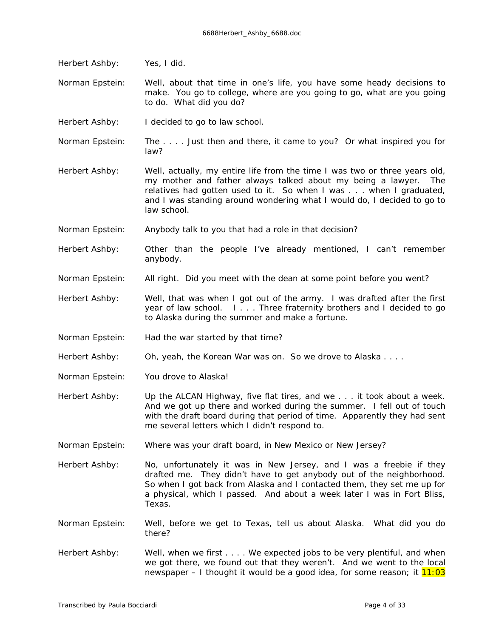Herbert Ashby: Yes, I did. Norman Epstein: Well, about that time in one's life, you have some heady decisions to make. You go to college, where are you going to go, what are you going to do. What did you do? Herbert Ashby: I decided to go to law school. Norman Epstein: The . . . . Just then and there, it came to you? Or what inspired you for law? Herbert Ashby: Well, actually, my entire life from the time I was two or three years old, my mother and father always talked about my being a lawyer. The relatives had gotten used to it. So when I was . . . when I graduated, and I was standing around wondering what I would do, I decided to go to law school. Norman Epstein: Anybody talk to you that had a role in that decision? Herbert Ashby: Other than the people I've already mentioned, I can't remember anybody. Norman Epstein: All right. Did you meet with the dean at some point before you went? Herbert Ashby: Well, that was when I got out of the army. I was drafted after the first year of law school. I . . . Three fraternity brothers and I decided to go to Alaska during the summer and make a fortune. Norman Epstein: Had the war started by that time? Herbert Ashby: Oh, yeah, the Korean War was on. So we drove to Alaska.... Norman Epstein: You drove to Alaska! Herbert Ashby: Up the ALCAN Highway, five flat tires, and we . . . it took about a week. And we got up there and worked during the summer. I fell out of touch with the draft board during that period of time. Apparently they had sent me several letters which I didn't respond to. Norman Epstein: Where was your draft board, in New Mexico or New Jersey? Herbert Ashby: No, unfortunately it was in New Jersey, and I was a freebie if they drafted me. They didn't have to get anybody out of the neighborhood. So when I got back from Alaska and I contacted them, they set me up for a physical, which I passed. And about a week later I was in Fort Bliss, Texas. Norman Epstein: Well, before we get to Texas, tell us about Alaska. What did you do there? Herbert Ashby: Well, when we first . . . We expected jobs to be very plentiful, and when we got there, we found out that they weren't. And we went to the local newspaper – I thought it would be a good idea, for some reason; it  $11:03$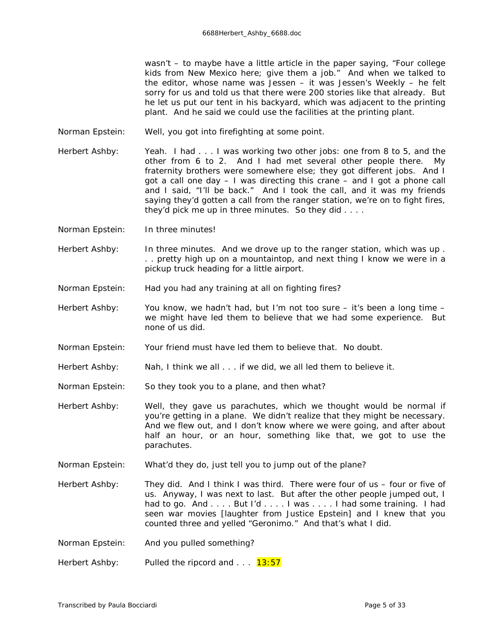wasn't – to maybe have a little article in the paper saying, "Four college kids from New Mexico here; give them a job." And when we talked to the editor, whose name was Jessen – it was *Jessen's Weekly* – he felt sorry for us and told us that there were 200 stories like that already. But he let us put our tent in his backyard, which was adjacent to the printing plant. And he said we could use the facilities at the printing plant.

Norman Epstein: Well, you got into firefighting at some point.

Herbert Ashby: Yeah. I had . . . I was working two other jobs: one from 8 to 5, and the other from 6 to 2. And I had met several other people there. My fraternity brothers were somewhere else; they got different jobs. And I got a call one day – I was directing this crane – and I got a phone call and I said, "I'll be back." And I took the call, and it was my friends saying they'd gotten a call from the ranger station, we're on to fight fires, they'd pick me up in three minutes. So they did . . . .

Norman Epstein: In three minutes!

Herbert Ashby: In three minutes. And we drove up to the ranger station, which was up. . . pretty high up on a mountaintop, and next thing I know we were in a pickup truck heading for a little airport.

- Norman Epstein: Had you had any training at all on fighting fires?
- Herbert Ashby: You know, we hadn't had, but I'm not too sure it's been a long time we might have led them to believe that we had some experience. But none of us did.
- Norman Epstein: Your friend must have led them to believe that. No doubt.
- Herbert Ashby: Nah, I think we all . . . if we did, we all led them to believe it.

Norman Epstein: So they took you to a plane, and then what?

Herbert Ashby: Well, they gave us parachutes, which we thought would be normal if you're getting in a plane. We didn't realize that they might be necessary. And we flew out, and I don't know where we were going, and after about half an hour, or an hour, something like that, we got to use the parachutes.

Norman Epstein: What'd they do, just tell you to jump out of the plane?

Herbert Ashby: They did. And I think I was third. There were four of us – four or five of us. Anyway, I was next to last. But after the other people jumped out, I had to go. And . . . . But I'd . . . . I was . . . . I had some training. I had seen war movies *[laughter from Justice Epstein]* and I knew that you counted three and yelled "Geronimo." And that's what I did.

Norman Epstein: And you pulled something?

Herbert Ashby: Pulled the ripcord and ...  $13:57$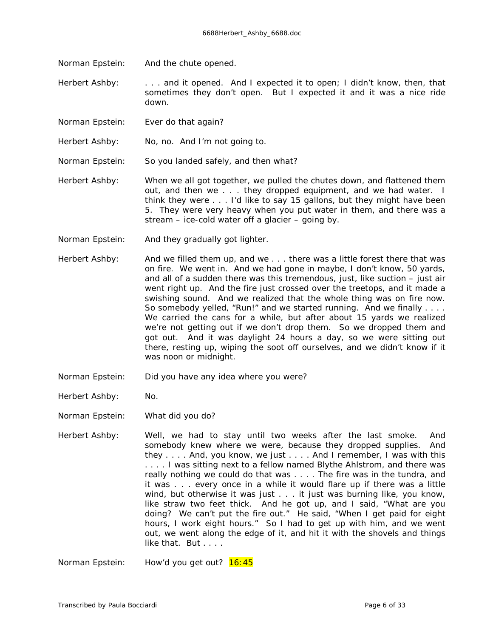Norman Epstein: And the chute opened.

Herbert Ashby: . . . . and it opened. And I expected it to open; I didn't know, then, that sometimes they don't open. But I expected it and it was a nice ride down.

- Norman Epstein: Ever do that again?
- Herbert Ashby: No, no. And I'm not going to.
- Norman Epstein: So you landed safely, and then what?
- Herbert Ashby: When we all got together, we pulled the chutes down, and flattened them out, and then we . . . they dropped equipment, and we had water. I think they were . . . I'd like to say 15 gallons, but they might have been 5. They were very heavy when you put water in them, and there was a stream – ice-cold water off a glacier – going by.
- Norman Epstein: And they gradually got lighter.
- Herbert Ashby: And we filled them up, and we . . . there was a little forest there that was on fire. We went in. And we had gone in maybe, I don't know, 50 yards, and all of a sudden there was this tremendous, just, like suction – just air went right up. And the fire just crossed over the treetops, and it made a swishing sound. And we realized that the whole thing was on fire now. So somebody yelled, "Run!" and we started running. And we finally . . . . We carried the cans for a while, but after about 15 yards we realized we're not getting out if we don't drop them. So we dropped them and got out. And it was daylight 24 hours a day, so we were sitting out there, resting up, wiping the soot off ourselves, and we didn't know if it was noon or midnight.
- Norman Epstein: Did you have any idea where you were?
- Herbert Ashby: No.
- Norman Epstein: What did you do?
- Herbert Ashby: Well, we had to stay until two weeks after the last smoke. And somebody knew where we were, because they dropped supplies. And they . . . . And, you know, we just . . . . And I remember, I was with this . . . . I was sitting next to a fellow named Blythe Ahlstrom, and there was really nothing we could do that was . . . . The fire was in the tundra, and it was . . . every once in a while it would flare up if there was a little wind, but otherwise it was just . . . it just was burning like, you know, like straw two feet thick. And he got up, and I said, "What are you doing? We can't put the fire out." He said, "When I get paid for eight hours, I work eight hours." So I had to get up with him, and we went out, we went along the edge of it, and hit it with the shovels and things like that. But . . . .

Norman Epstein: How'd you get out? 16:45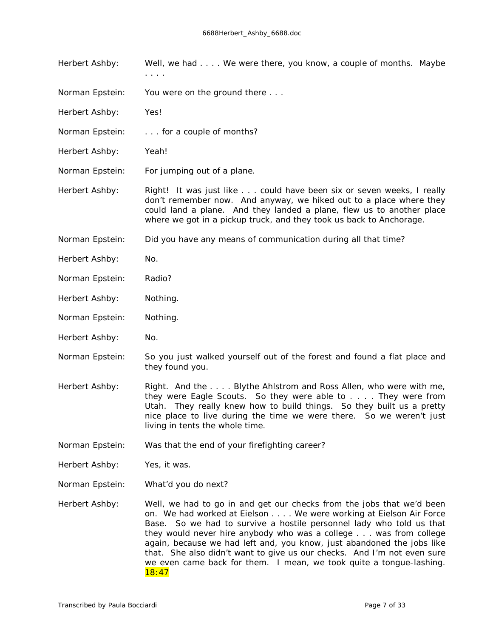- Herbert Ashby: Well, we had . . . We were there, you know, a couple of months. Maybe . . . .
- Norman Epstein: You were on the ground there . . .
- Herbert Ashby: Yes!
- Norman Epstein: . . . . for a couple of months?
- Herbert Ashby: Yeah!
- Norman Epstein: For jumping out of a plane.

Herbert Ashby: Right! It was just like . . . could have been six or seven weeks, I really don't remember now. And anyway, we hiked out to a place where they could land a plane. And they landed a plane, flew us to another place where we got in a pickup truck, and they took us back to Anchorage.

Norman Epstein: Did you have any means of communication during all that time?

- Herbert Ashby: No.
- Norman Epstein: Radio?
- Herbert Ashby: Nothing.
- Norman Epstein: Nothing.
- Herbert Ashby: No.
- Norman Epstein: So you just walked yourself out of the forest and found a flat place and they found you.
- Herbert Ashby: Right. And the .... Blythe Ahlstrom and Ross Allen, who were with me, they were Eagle Scouts. So they were able to . . . . They were from Utah. They really knew how to build things. So they built us a pretty nice place to live during the time we were there. So we weren't just living in tents the whole time.
- Norman Epstein: Was that the end of your firefighting career?
- Herbert Ashby: Yes, it was.
- Norman Epstein: What'd you do next?
- Herbert Ashby: Well, we had to go in and get our checks from the jobs that we'd been on. We had worked at Eielson . . . . We were working at Eielson Air Force Base. So we had to survive a hostile personnel lady who told us that they would never hire anybody who was a college . . . was from college again, because we had left and, you know, just abandoned the jobs like that. She also didn't want to give us our checks. And I'm not even sure we even came back for them. I mean, we took quite a tongue-lashing. 18:47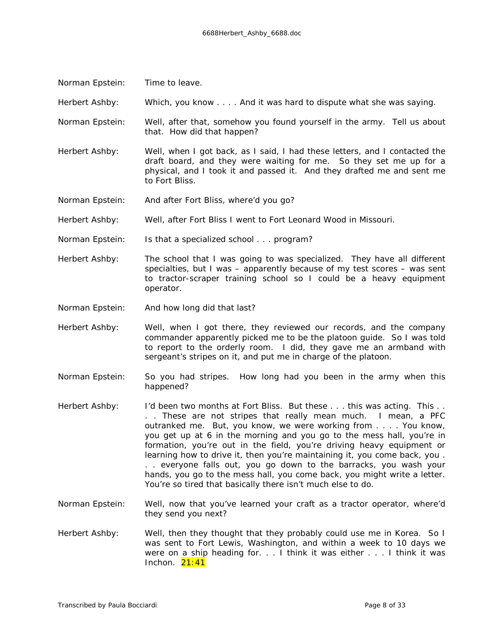Norman Epstein: Time to leave.

Herbert Ashby: Which, you know . . . . And it was hard to dispute what she was saying.

- Norman Epstein: Well, after that, somehow you found yourself in the army. Tell us about that. How did that happen?
- Herbert Ashby: Well, when I got back, as I said, I had these letters, and I contacted the draft board, and they were waiting for me. So they set me up for a physical, and I took it and passed it. And they drafted me and sent me to Fort Bliss.
- Norman Epstein: And after Fort Bliss, where'd you go?

Herbert Ashby: Well, after Fort Bliss I went to Fort Leonard Wood in Missouri.

- Norman Epstein: Is that a specialized school . . . program?
- Herbert Ashby: The school that I was going to was specialized. They have all different specialties, but I was – apparently because of my test scores – was sent to tractor-scraper training school so I could be a heavy equipment operator.
- Norman Epstein: And how long did that last?
- Herbert Ashby: Well, when I got there, they reviewed our records, and the company commander apparently picked me to be the platoon guide. So I was told to report to the orderly room. I did, they gave me an armband with sergeant's stripes on it, and put me in charge of the platoon.
- Norman Epstein: So you had stripes. How long had you been in the army when this happened?
- Herbert Ashby: I'd been two months at Fort Bliss. But these . . . this was *acting*. This . . . . These are not stripes that really mean much. I mean, a PFC outranked me. But, you know, we were working from . . . . You know, you get up at 6 in the morning and you go to the mess hall, you're in formation, you're out in the field, you're driving heavy equipment or learning how to drive it, then you're maintaining it, you come back, you . . . everyone falls out, you go down to the barracks, you wash your hands, you go to the mess hall, you come back, you might write a letter. You're so tired that basically there isn't much else to do.
- Norman Epstein: Well, now that you've learned your craft as a tractor operator, where'd they send you next?
- Herbert Ashby: Well, then they thought that they probably could use me in Korea. So I was sent to Fort Lewis, Washington, and within a week to 10 days we were on a ship heading for. . . I think it was either . . . I think it was Inchon.  $21:41$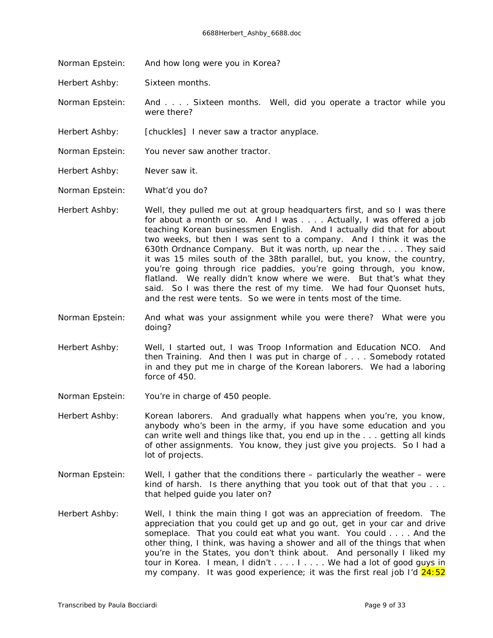Norman Epstein: And how long were you in Korea?

Herbert Ashby: Sixteen months.

Norman Epstein: And . . . . Sixteen months. Well, did you operate a tractor while you were there?

Herbert Ashby: *[chuckles]* I never saw a tractor anyplace.

Norman Epstein: You never saw another tractor.

Herbert Ashby: Never saw it.

Norman Epstein: What'd you do?

- Herbert Ashby: Well, they pulled me out at group headquarters first, and so I was there for about a month or so. And I was . . . . Actually, I was offered a job teaching Korean businessmen English. And I actually *did* that for about two weeks, but then I was sent to a company. And I think it was the 630th Ordnance Company. But it was north, up near the . . . . They said it was 15 miles south of the 38th parallel, but, you know, the country, you're going through rice paddies, you're going through, you know, flatland. We really didn't know where we were. But that's what they said. So I was there the rest of my time. We had four Quonset huts, and the rest were tents. So we were in tents most of the time.
- Norman Epstein: And what was your assignment while you were there? What were you doing?
- Herbert Ashby: Well, I started out, I was Troop Information and Education NCO. And then Training. And then I was put in charge of . . . . Somebody rotated in and they put me in charge of the Korean laborers. We had a laboring force of 450.
- Norman Epstein: You're in charge of 450 people.
- Herbert Ashby: Korean laborers. And gradually what happens when you're, you know, anybody who's been in the army, if you have some education and you can write well and things like that, you end up in the . . . getting all kinds of other assignments. You know, they just give you projects. So I had a lot of projects.
- Norman Epstein: Well, I gather that the conditions there particularly the weather were kind of harsh. Is there anything that you took out of that that you . . . that helped guide you later on?
- Herbert Ashby: Well, I think the main thing I got was an appreciation of freedom. The appreciation that you could get up and go out, get in your car and drive someplace. That you could eat what you want. You could . . . . And the other thing, I think, was having a shower and all of the things that when you're in the States, you don't think about. And personally I liked my tour in Korea. I mean, I didn't . . . . I . . . . We had a lot of good guys in my company. It was good experience; it was the first real job I'd  $24:52$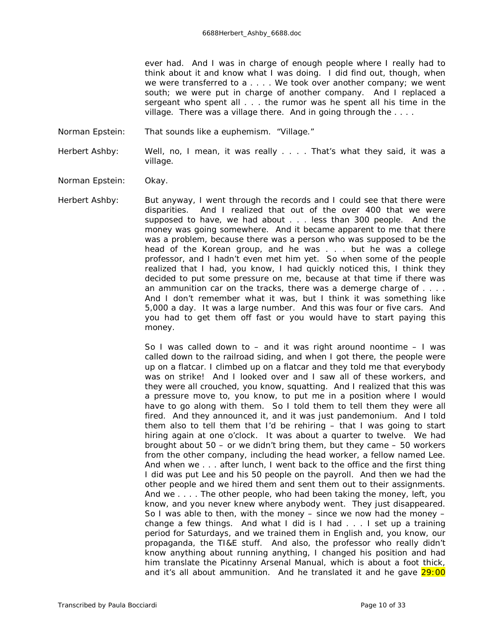ever had. And I was in charge of enough people where I really had to think about it and know what I was doing. I did find out, though, when we were transferred to a . . . . We took over another company; we went south; we were put in charge of another company. And I replaced a sergeant who spent all . . . the rumor was he spent all his time in the village. There was a village there. And in going through the ....

Norman Epstein: That sounds like a euphemism. "Village."

Herbert Ashby: Well, no, I mean, it was really . . . That's what they said, it was a village.

- Norman Epstein: Okay.
- Herbert Ashby: But anyway, I went through the records and I could see that there were disparities. And I realized that out of the over 400 that we were supposed to have, we had about . . . less than 300 people. And the money was going somewhere. And it became apparent to me that there was a problem, because there was a person who was supposed to be the head of the Korean group, and he was . . . but he was a college professor, and I hadn't even met him yet. So when some of the people realized that I had, you know, I had quickly noticed this, I think they decided to put some pressure on me, because at that time if there was an ammunition car on the tracks, there was a demerge charge of . . . . And I don't remember what it was, but I think it was something like 5,000 a day. It was a large number. And this was four or five cars. And you had to get them off fast or you would have to start paying this money.

So I was called down to  $-$  and it was right around noontime  $-1$  was called down to the railroad siding, and when I got there, the people were up on a flatcar. I climbed up on a flatcar and they told me that everybody was on strike! And I looked over and I saw all of these workers, and they were all crouched, you know, squatting. And I realized that this was a pressure move to, you know, to put me in a position where I would have to go along with them. So I told them to tell them they were all fired. And they announced it, and it was just pandemonium. And I told them also to tell them that I'd be rehiring – that I was going to start hiring again at one o'clock. It was about a quarter to twelve. We had brought about  $50 -$  or we didn't bring them, but they came  $-50$  workers from the other company, including the head worker, a fellow named Lee. And when we . . . after lunch, I went back to the office and the first thing I did was put Lee and his 50 people on the payroll. And then we had the other people and we hired them and sent them out to their assignments. And we . . . . The other people, who had been taking the money, left, you know, and you never knew where anybody went. They just disappeared. So I was able to then, with the money – since we now *had* the money – change a few things. And what I did is I had . . . I set up a training period for Saturdays, and we trained them in English and, you know, our propaganda, the TI&E stuff. And also, the professor who really didn't know anything about running anything, I changed his position and had him translate the *Picatinny Arsenal Manual*, which is about a foot thick, and it's all about ammunition. And he translated it and he gave  $29:00$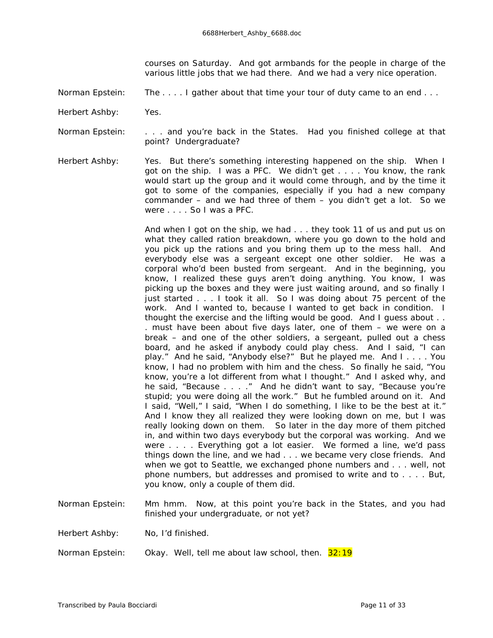courses on Saturday. And got armbands for the people in charge of the various little jobs that we had there. And we had a very nice operation.

Norman Epstein: The . . . . I gather about that time your tour of duty came to an end . . .

Herbert Ashby: Yes.

Norman Epstein: . . . . and you're back in the States. Had you finished college at that point? Undergraduate?

Herbert Ashby: Yes. But there's something interesting happened on the ship. When I got on the ship. I was a PFC. We didn't get . . . . You know, the rank would start up the group and it would come through, and by the time it got to some of the companies, especially if you had a new company commander – and we had three of them – you didn't get a lot. So we were . . . . So I was a PFC.

> And when I got on the ship, we had . . . they took 11 of us and put us on what they called ration breakdown, where you go down to the hold and you pick up the rations and you bring them up to the mess hall. And everybody else was a sergeant except one other soldier. He was a corporal who'd been busted from sergeant. And in the beginning, you know, I realized these guys aren't doing anything. You know, I was picking up the boxes and they were just waiting around, and so finally I just started . . . I took it all. So I was doing about 75 percent of the work. And I *wanted* to, because I wanted to get back in condition. I thought the exercise and the lifting would be good. And I guess about . . . must have been about five days later, one of them – we were on a break – and one of the other soldiers, a sergeant, pulled out a chess board, and he asked if anybody could play chess. And I said, "I can play." And he said, "Anybody else?" But he played me. And I . . . . You know, I had no problem with him and the chess. So finally he said, "You know, you're a lot different from what I thought." And I asked why, and he said, "Because . . . ." And he didn't want to say, "Because you're stupid; you were doing all the work." But he fumbled around on it. And I said, "Well," I said, "When I do something, I like to be the best at it." And I know they all realized they were looking down on *me,* but I was really looking down on *them*. So later in the day more of them pitched in, and within two days everybody but the corporal was working. And we were . . . . Everything got a lot easier. We formed a line, we'd pass things down the line, and we had . . . we became very close friends. And when we got to Seattle, we exchanged phone numbers and . . . well, not phone numbers, but addresses and promised to write and to . . . . But, you know, only a couple of them did.

- Norman Epstein: Mm hmm. Now, at this point you're back in the States, and you had finished your undergraduate, or not yet?
- Herbert Ashby: No, I'd finished.
- Norman Epstein: Ckay. Well, tell me about law school, then. 32:19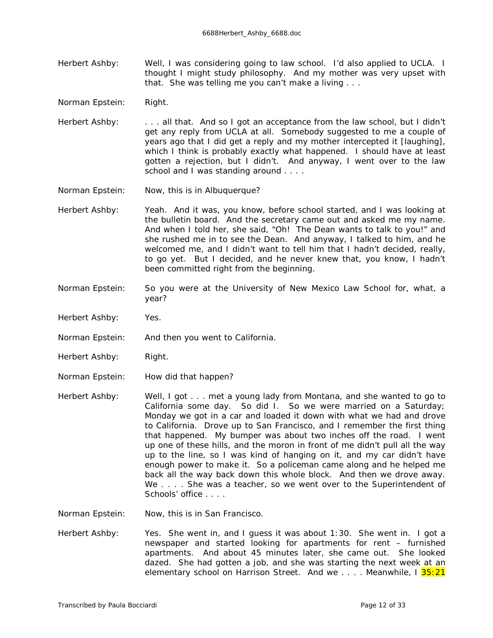- Herbert Ashby: Well, I was considering going to law school. I'd also applied to UCLA. I thought I might study philosophy. And my mother was very upset with that. She was telling me you can't make a living . . .
- Norman Epstein: Right.
- Herbert Ashby: . . . . . all that. And so I got an acceptance from the law school, but I didn't get any reply from UCLA at all. Somebody suggested to me a couple of years ago that I did get a reply and my mother intercepted it *[laughing],*  which I think is probably exactly what happened. I should have at least gotten a rejection, but I didn't. And anyway, I went over to the law school and I was standing around . . . .
- Norman Epstein: Now, this is in Albuquerque?
- Herbert Ashby: Yeah. And it was, you know, before school started, and I was looking at the bulletin board. And the secretary came out and asked me my name. And when I told her, she said, "Oh! The Dean wants to talk to you!" and she rushed me in to see the Dean. And anyway, I talked to him, and he welcomed me, and I didn't want to tell him that I hadn't decided, really, to go yet. But I decided, and he never knew that, you know, I hadn't been committed right from the beginning.
- Norman Epstein: So you were at the University of New Mexico Law School for, what, a year?
- Herbert Ashby: Yes.
- Norman Epstein: And then you went to California.
- Herbert Ashby: Right.
- Norman Epstein: How did that happen?
- Herbert Ashby: Well, I got . . . met a young lady from Montana, and she wanted to go to California some day. So did I. So we were married on a Saturday; Monday we got in a car and loaded it down with what we had and drove to California. Drove up to San Francisco, and I remember the first thing that happened. My bumper was about two inches off the road. I went up one of these hills, and the moron in front of me didn't pull all the way up to the line, so I was kind of hanging on it, and my car didn't have enough power to make it. So a policeman came along and he helped me back all the way back down this whole block. And then we drove away. We . . . . She was a teacher, so we went over to the Superintendent of Schools' office
- Norman Epstein: Now, this is in San Francisco.
- Herbert Ashby: Yes. She went in, and I quess it was about 1:30. She went in. I got a newspaper and started looking for apartments for rent – furnished apartments. And about 45 minutes later, she came out. She looked dazed. She had gotten a job, and she was starting the next week at an elementary school on Harrison Street. And we .... Meanwhile, I 35:21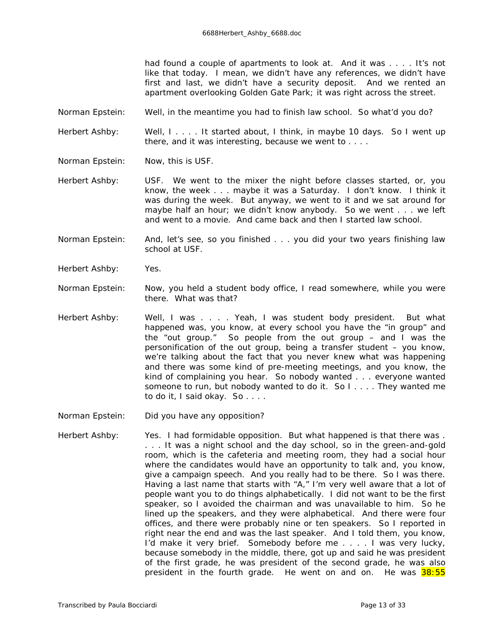had found a couple of apartments to look at. And it was . . . . It's not like that today. I mean, we didn't have any references, we didn't have first and last, we didn't have a security deposit. And we rented an apartment overlooking Golden Gate Park; it was right across the street.

Norman Epstein: Well, in the meantime you had to finish law school. So what'd you do?

Herbert Ashby: Well, I . . . . It started about, I think, in maybe 10 days. So I went up there, and it was interesting, because we went to . . . .

Norman Epstein: Now, this is USF.

Herbert Ashby: USF. We went to the mixer the night before classes started, or, you know, the week . . . maybe it was a Saturday. I don't know. I think it was during the week. But anyway, we went to it and we sat around for maybe half an hour; we didn't know anybody. So we went . . . we left and went to a movie. And came back and then I started law school.

Norman Epstein: And, let's see, so you finished . . . you did your two years finishing law school at USF.

- Herbert Ashby: Yes.
- Norman Epstein: Now, you held a student body office, I read somewhere, while you were there. What was that?
- Herbert Ashby: Well, I was . . . . Yeah, I was student body president. But what happened was, you know, at every school you have the "in group" and the "out group." So people from the out group  $-$  and I was the personification of the out group, being a transfer student – you know, we're talking about the fact that you never knew what was happening and there was some kind of pre-meeting meetings, and you know, the kind of complaining you hear. So nobody wanted . . . everyone wanted someone to run, but nobody wanted to do it. So I . . . . They wanted me to do it, I said okay. So . . . .

Norman Epstein: Did you have any opposition?

Herbert Ashby: Yes. I had formidable opposition. But what happened is that there was. . . . It was a night school and the day school, so in the green-and-gold room, which is the cafeteria and meeting room, they had a social hour where the candidates would have an opportunity to talk and, you know, give a campaign speech. And you really had to be there. So I was there. Having a last name that starts with "A," I'm very well aware that a lot of people want you to do things alphabetically. I did *not* want to be the first speaker, so I avoided the chairman and was unavailable to him. So he lined up the speakers, and they were alphabetical. And there were four offices, and there were probably nine or ten speakers. So I reported in right near the end and was the last speaker. And I told them, you know, I'd make it very brief. Somebody before me . . . . I was very lucky, because somebody in the middle, there, got up and said he was president of the first grade, he was president of the second grade, he was also president in the fourth grade. He went on and on. He was  $38:55$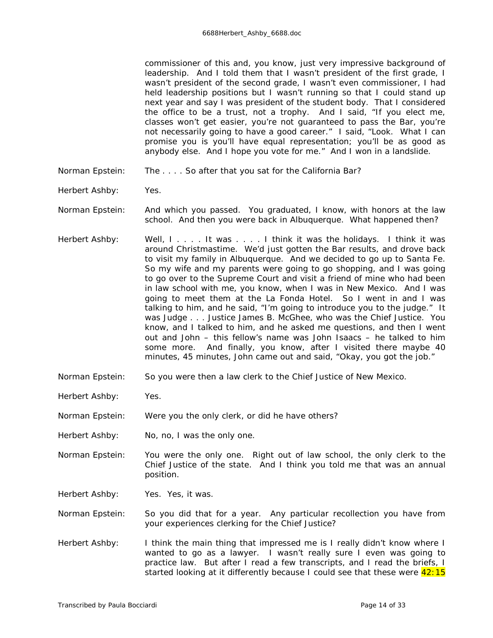commissioner of this and, you know, just very impressive background of leadership. And I told them that I wasn't president of the first grade, I wasn't president of the second grade, I wasn't even commissioner, I had held leadership positions but I wasn't running so that I could stand up next year and say I was president of the student body. That I considered the office to be a trust, not a trophy. And I said, "If you elect me, classes won't get easier, you're not guaranteed to pass the Bar, you're not necessarily going to have a good career." I said, "Look. What I *can* promise you is you'll have equal representation; you'll be as good as anybody else. And I hope you vote for me." And I won in a landslide.

- Norman Epstein: The . . . . So after that you sat for the California Bar?
- Herbert Ashby: Yes.
- Norman Epstein: And which you passed. You graduated, I know, with honors at the law school. And then you were back in Albuquerque. What happened then?
- Herbert Ashby: Well, I.... It was .... I think it was the holidays. I think it was around Christmastime. We'd just gotten the Bar results, and drove back to visit my family in Albuquerque. And we decided to go up to Santa Fe. So my wife and my parents were going to go shopping, and I was going to go over to the Supreme Court and visit a friend of mine who had been in law school with me, you know, when I was in New Mexico. And I was going to meet them at the La Fonda Hotel. So I went in and I was talking to him, and he said, "I'm going to introduce you to the judge." It was Judge . . . Justice James B. McGhee, who was the Chief Justice. You know, and I talked to him, and he asked me questions, and then I went out and John – this fellow's name was John Isaacs – he talked to him some more. And finally, you know, after I visited there maybe 40 minutes, 45 minutes, John came out and said, "Okay, you got the job."
- Norman Epstein: So you were then a law clerk to the Chief Justice of New Mexico.
- Herbert Ashby: Yes.
- Norman Epstein: Were you the only clerk, or did he have others?
- Herbert Ashby: No, no, I was the only one.
- Norman Epstein: You were the only one. Right out of law school, the only clerk to the Chief Justice of the state. And I think you told me that was an annual position.
- Herbert Ashby: Yes. Yes, it was.
- Norman Epstein: So you did that for a year. Any particular recollection you have from your experiences clerking for the Chief Justice?
- Herbert Ashby: I think the main thing that impressed me is I really didn't know where I wanted to go as a lawyer. I wasn't really sure I even was going to practice law. But after I read a few transcripts, and I read the briefs, I started looking at it differently because I could see that these were  $42:15$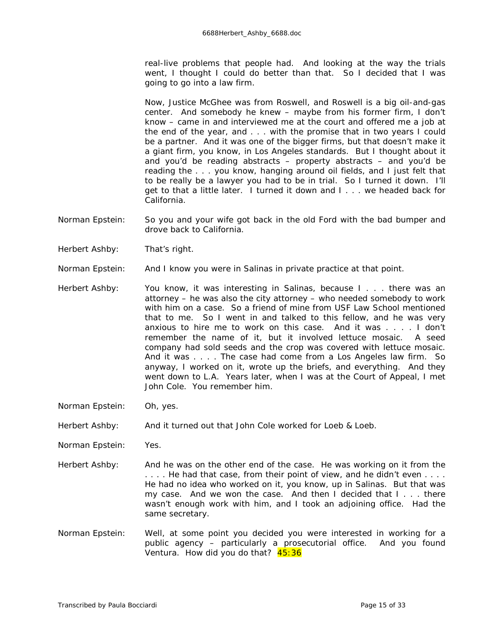real-live problems that people had. And looking at the way the trials went, I thought I could do better than that. So I decided that I was going to go into a law firm.

Now, Justice McGhee was from Roswell, and Roswell is a big oil-and-gas center. And somebody he knew – maybe from his former firm, I don't know – came in and interviewed me at the court and offered me a job at the end of the year, and . . . with the promise that in two years I could be a partner. And it was one of the bigger firms, but that doesn't make it a giant firm, you know, in Los Angeles standards. But I thought about it and you'd be reading abstracts – property abstracts – and you'd be reading the . . . you know, hanging around oil fields, and I just felt that to be really be a lawyer you had to be in trial. So I turned it down. I'll get to that a little later. I turned it down and I . . . we headed back for California.

- Norman Epstein: So you and your wife got back in the old Ford with the bad bumper and drove back to California.
- Herbert Ashby: That's right.
- Norman Epstein: And I know you were in Salinas in private practice at that point.
- Herbert Ashby: You know, it was interesting in Salinas, because I... there was an attorney – he was also the city attorney – who needed somebody to work with him on a case. So a friend of mine from USF Law School mentioned that to me. So I went in and talked to this fellow, and he was very anxious to hire me to work on this case. And it was . . . . I don't remember the name of it, but it involved lettuce mosaic. A seed company had sold seeds and the crop was covered with lettuce mosaic. And it was . . . . The case had come from a Los Angeles law firm. So anyway, I worked on it, wrote up the briefs, and everything. And they went down to L.A. Years later, when I was at the Court of Appeal, I met John Cole. You remember him.
- Norman Epstein: Oh, yes.
- Herbert Ashby: And it turned out that John Cole worked for Loeb & Loeb.
- Norman Epstein: Yes.
- Herbert Ashby: And he was on the other end of the case. He was working on it from the . . . . He *had* that case, from their point of view, and he didn't even . . . . He had no idea who worked on it, you know, up in Salinas. But that was my case. And we won the case. And then I decided that I . . . there wasn't enough work with him, and I took an adjoining office. Had the same secretary.
- Norman Epstein: Well, at some point you decided you were interested in working for a public agency – particularly a prosecutorial office. And you found Ventura. How did you do that? 45:36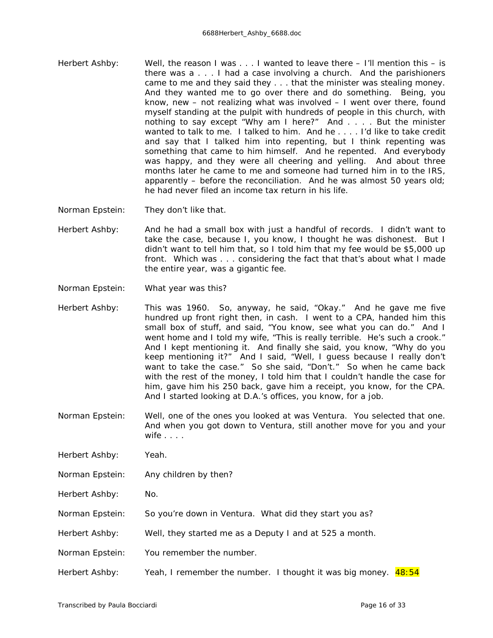- Herbert Ashby: Well, the reason I was . . . I wanted to leave there I'll mention this is there was a . . . I had a case involving a church. And the parishioners came to me and they said they . . . that the minister was stealing money. And they wanted me to go over there and do something. Being, you know, new – not realizing what was involved – I went over there, found myself standing at the pulpit with hundreds of people in this church, with nothing to say except "Why am I here?" And . . . . But the minister wanted to talk to me. I talked to him. And he . . . . I'd like to take credit and say that I talked him into repenting, but I think repenting was something that came to him himself. And he repented. And everybody was happy, and they were all cheering and yelling. And about three months later he came to me and someone had turned him in to the IRS, apparently – before the reconciliation. And he was almost 50 years old; he had never filed an income tax return in his life.
- Norman Epstein: They don't like that.
- Herbert Ashby: And he had a small box with just a handful of records. I didn't want to take the case, because I, you know, I thought he was dishonest. But I didn't want to tell him that, so I told him that my fee would be \$5,000 up front. Which was . . . considering the fact that that's about what I made the entire year, was a gigantic fee.
- Norman Epstein: What year was this?
- Herbert Ashby: This was 1960. So, anyway, he said, "Okay." And he gave me five hundred up front right then, in cash. I went to a CPA, handed him this small box of stuff, and said, "You know, see what you can do." And I went home and I told my wife, "This is really terrible. He's such a crook." And I kept mentioning it. And finally she said, you know, "Why do you keep mentioning it?" And I said, "Well, I guess because I really don't want to take the case." So she said, "Don't." So when he came back with the rest of the money, I told him that I couldn't handle the case for him, gave him his 250 back, gave him a receipt, you know, for the CPA. And I started looking at D.A.'s offices, you know, for a job.
- Norman Epstein: Well, one of the ones you looked at was Ventura. You selected that one. And when you got down to Ventura, still another move for you and your wife . . . .
- Herbert Ashby: Yeah.
- Norman Epstein: Any children by then?
- Herbert Ashby: No.
- Norman Epstein: So you're down in Ventura. What did they start you as?
- Herbert Ashby: Well, they started me as a Deputy I and at 525 a month.
- Norman Epstein: You remember the number.
- Herbert Ashby: Yeah, I remember the number. I thought it was big money.  $48:54$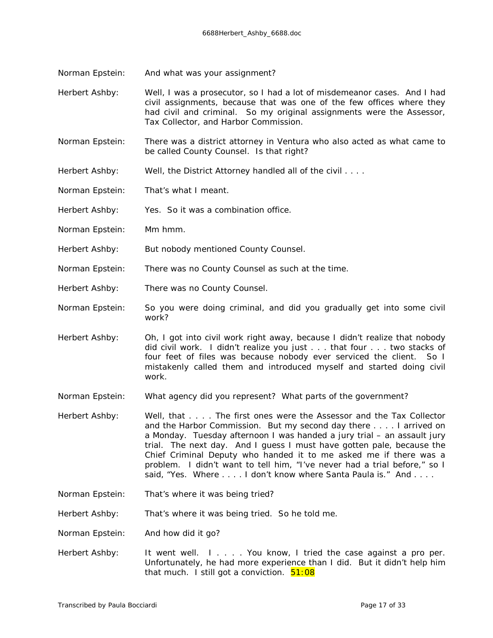- Norman Epstein: And what was your assignment?
- Herbert Ashby: Well, I was a prosecutor, so I had a lot of misdemeanor cases. And I had civil assignments, because that was one of the few offices where they had civil and criminal. So my original assignments were the Assessor, Tax Collector, and Harbor Commission.
- Norman Epstein: There was a district attorney in Ventura who also acted as what came to be called County Counsel. Is that right?
- Herbert Ashby: Well, the District Attorney handled all of the civil . . . .
- Norman Epstein: That's what I meant.

Herbert Ashby: Yes. So it was a combination office.

- Norman Epstein: Mm hmm.
- Herbert Ashby: But nobody mentioned County Counsel.
- Norman Epstein: There *was* no County Counsel as such at the time.
- Herbert Ashby: There was no County Counsel.

Norman Epstein: So you were doing criminal, and did you gradually get into some civil work?

Herbert Ashby: Oh, I got into civil work right away, because I didn't realize that nobody *did* civil work. I didn't realize you just . . . that four . . . two stacks of four feet of files was because nobody ever serviced the client. So I mistakenly called them and introduced myself and started doing civil work.

- Norman Epstein: What agency did you represent? What parts of the government?
- Herbert Ashby: Well, that . . . . The first ones were the Assessor and the Tax Collector and the Harbor Commission. But my second day there . . . . I arrived on a Monday. Tuesday afternoon I was handed a jury trial – an assault jury trial. The next day. And I guess I must have gotten pale, because the Chief Criminal Deputy who handed it to me asked me if there was a problem. I didn't want to tell him, "I've never had a trial before," so I said, "Yes. Where . . . . I don't know where Santa Paula is." And . . . .
- Norman Epstein: That's where it was being tried?
- Herbert Ashby: That's where it was being tried. So he told me.
- Norman Epstein: And how did it go?
- Herbert Ashby: It went well. I . . . . You know, I tried the case against a pro per. Unfortunately, he had more experience than I did. But it didn't help him that much. I still got a conviction.  $51:08$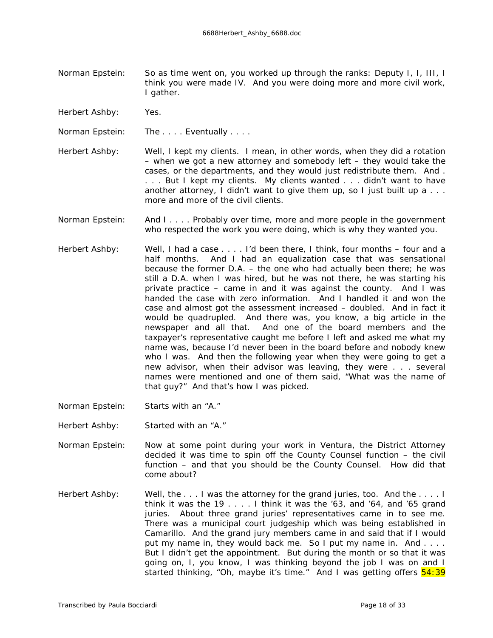- Norman Epstein: So as time went on, you worked up through the ranks: Deputy I, I, III, I think you were made IV. And you were doing more and more civil work, I gather.
- Herbert Ashby: Yes.
- Norman Epstein: The .... Eventually ....
- Herbert Ashby: Well, I kept my clients. I mean, in other words, when they did a rotation – when we got a new attorney and somebody left – they would take the cases, or the departments, and they would just redistribute them. And . . . . But I kept my clients. My clients wanted . . . didn't want to have another attorney, I didn't want to give them up, so I just built up a . . . more and more of the civil clients.
- Norman Epstein: And I . . . . Probably over time, more and more people in the government who respected the work you were doing, which is why they wanted you.
- Herbert Ashby: Well, I had a case . . . . I'd been there, I think, four months four and a half months. And I had an equalization case that was sensational because the former D.A. – the one who had actually been there; he was still a D.A. when I was hired, but he was not there, he was starting his private practice – came in and it was against the county. And I was handed the case with zero information. And I handled it and won the case and almost got the assessment increased – doubled. And in fact it would be quadrupled. And there was, you know, a big article in the newspaper and all that. And one of the board members and the taxpayer's representative caught me before I left and asked me what my name was, because I'd never been in the board before and nobody knew who I was. And then the following year when they were going to get a new advisor, when their advisor was leaving, they were . . . several names were mentioned and one of them said, "What was the name of that guy?" And that's how I was picked.
- Norman Epstein: Starts with an "A."

Herbert Ashby: Started with an "A."

- Norman Epstein: Now at some point during your work in Ventura, the District Attorney decided it was time to spin off the County Counsel function – the civil function – and that you should be the County Counsel. How did that come about?
- Herbert Ashby: Well, the ... I was the attorney for the grand juries, too. And the ... I think it was the 19 . . . . I think it was the '63, and '64, and '65 grand juries. About three grand juries' representatives came in to see me. There was a municipal court judgeship which was being established in Camarillo. And the grand jury members came in and said that if I would put my name in, they would back me. So I put my name in. And . . . . But I didn't get the appointment. But during the month or so that it was going on, I, you know, I was thinking beyond the job I was on and I started thinking, "Oh, maybe it's time." And I was getting offers  $\frac{54:39}{2}$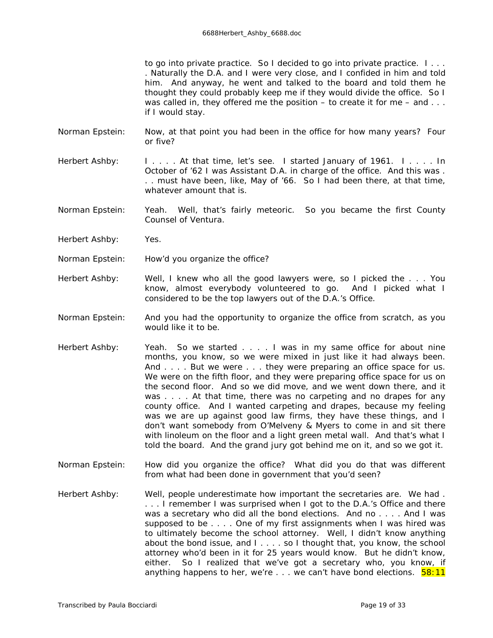to go into private practice. So I decided to go into private practice. I . . . . Naturally the D.A. and I were very close, and I confided in him and told him. And anyway, he went and talked to the board and told them he thought they could probably keep me if they would divide the office. So I was called in, they offered me the position  $-$  to create it for me  $-$  and  $\ldots$ if I would stay.

- Norman Epstein: Now, at that point you had been in the office for how many years? Four or five?
- Herbert Ashby: I . . . . At that time, let's see. I started January of 1961. I . . . . In October of '62 I was Assistant D.A. in charge of the office. And this was . . . must have been, like, May of '66. So I had been there, at that time, whatever amount that is.
- Norman Epstein: Yeah. Well, that's fairly meteoric. So you became the first County Counsel of Ventura.
- Herbert Ashby: Yes.
- Norman Epstein: How'd you organize the office?
- Herbert Ashby: Well, I knew who all the good lawyers were, so I picked the . . . You know, almost everybody volunteered to go. And I picked what I considered to be the top lawyers out of the D.A.'s Office.
- Norman Epstein: And you had the opportunity to organize the office from scratch, as you would like it to be.
- Herbert Ashby: Yeah. So we started . . . . I was in my same office for about nine months, you know, so we were mixed in just like it had always been. And . . . . But we were . . . they were preparing an office space for us. We were on the fifth floor, and they were preparing office space for us on the second floor. And so we did move, and we went down there, and it was . . . . At that time, there was no carpeting and no drapes for any county office. And I wanted carpeting and drapes, because my feeling was we are up against good law firms, they have these things, and I don't want somebody from O'Melveny & Myers to come in and sit there with linoleum on the floor and a light green metal wall. And that's what I told the board. And the grand jury got behind me on it, and so we got it.
- Norman Epstein: How did you organize the office? What did you do that was different from what had been done in government that you'd seen?
- Herbert Ashby: Well, people underestimate how important the secretaries are. We had . . . . I remember I was surprised when I got to the D.A.'s Office and there was a secretary who did all the bond elections. And no . . . . And I was supposed to be . . . . One of my first assignments when I was hired was to ultimately become the school attorney. Well, I didn't know anything about the bond issue, and I . . . . so I thought that, you know, the school attorney who'd been in it for 25 years would know. But he didn't know, either. So I realized that we've got a secretary who, you know, if anything happens to her, we're  $\ldots$  we can't have bond elections.  $\frac{58:11}{2}$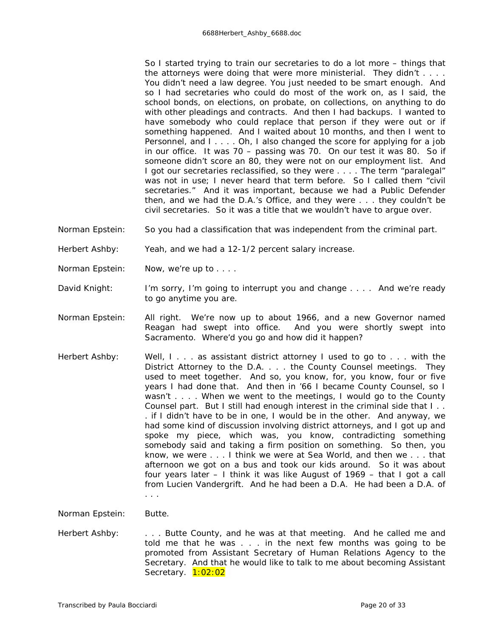So I started trying to train our secretaries to do a lot more – things that the attorneys were doing that were more ministerial. They didn't . . . . You didn't need a law degree. You just needed to be smart enough. And so I had secretaries who could do most of the work on, as I said, the school bonds, on elections, on probate, on collections, on anything to do with other pleadings and contracts. And then I had backups. I wanted to have somebody who could replace that person if they were out or if something happened. And I waited about 10 months, and then I went to Personnel, and I . . . . Oh, I also changed the score for applying for a job in our office. It was 70 – passing was 70. On our test it was 80. So if someone didn't score an 80, they were not on our employment list. And I got our secretaries reclassified, so they were . . . . The term "paralegal" was not in use; I never heard that term before. So I called them "civil secretaries." And it was important, because we had a Public Defender then, and we had the D.A.'s Office, and they were . . . they couldn't be civil secretaries. So it was a title that we wouldn't have to argue over.

Norman Epstein: So you had a classification that was independent from the criminal part.

Herbert Ashby: Yeah, and we had a 12-1/2 percent salary increase.

- Norman Epstein: Now, we're up to . . . .
- David Knight: I'm sorry, I'm going to interrupt you and change . . . . And we're ready to go anytime you are.
- Norman Epstein: All right. We're now up to about 1966, and a new Governor named Reagan had swept into office. And you were shortly swept into Sacramento. Where'd you go and how did it happen?
- Herbert Ashby: Well, I... as assistant district attorney I used to go to ... with the District Attorney to the D.A. . . . the County Counsel meetings. They used to meet together. And so, you know, for, you know, four or five years I had done that. And then in '66 I became County Counsel, so I wasn't . . . . When we went to the meetings, I would go to the County Counsel part. But I still had enough interest in the criminal side that I . . . if I didn't have to be in one, I would be in the other. And anyway, we had some kind of discussion involving district attorneys, and I got up and spoke my piece, which was, you know, contradicting something somebody said and taking a firm position on something. So then, you know, we were . . . I think we were at Sea World, and then we . . . that afternoon we got on a bus and took our kids around. So it was about four years later – I think it was like August of 1969 – that I got a call from Lucien Vandergrift. And he had been a D.A. He had been a D.A. of . . .

Norman Epstein: Butte.

Herbert Ashby: . . . . Butte County, and he was at that meeting. And he called me and told me that he was . . . in the next few months was going to be promoted from Assistant Secretary of Human Relations Agency to the Secretary. And that he would like to talk to me about becoming Assistant Secretary. 1:02:02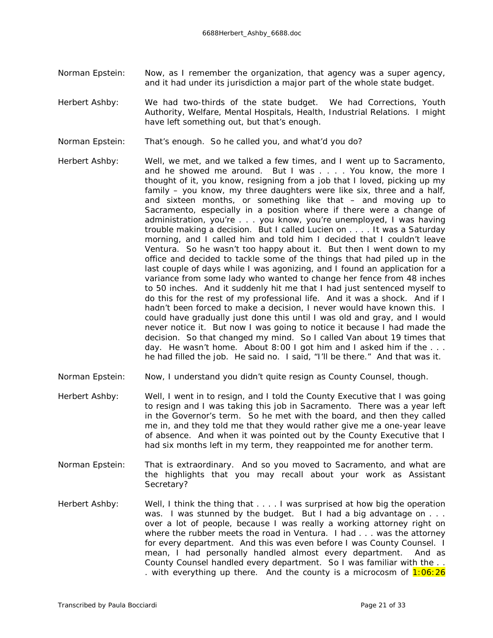- Norman Epstein: Now, as I remember the organization, that agency was a super agency, and it had under its jurisdiction a major part of the whole state budget.
- Herbert Ashby: We had two-thirds of the state budget. We had Corrections, Youth Authority, Welfare, Mental Hospitals, Health, Industrial Relations. I might have left something out, but that's enough.
- Norman Epstein: That's enough. So he called you, and what'd you do?
- Herbert Ashby: Well, we met, and we talked a few times, and I went up to Sacramento, and he showed me around. But I was . . . . You know, the more I thought of it, you know, resigning from a job that I loved, picking up my family – you know, my three daughters were like six, three and a half, and sixteen months, or something like that – and moving up to Sacramento, especially in a position where if there were a change of administration, you're . . . you know, you're unemployed, I was having trouble making a decision. But I called Lucien on . . . . It was a Saturday morning, and I called him and told him I decided that I couldn't leave Ventura. So he wasn't too happy about it. But then I went down to my office and decided to tackle some of the things that had piled up in the last couple of days while I was agonizing, and I found an application for a variance from some lady who wanted to change her fence from 48 inches to 50 inches. And it suddenly hit me that I had just sentenced myself to do this for the rest of my professional life. And it was a shock. And if I hadn't been forced to make a decision, I never would have known this. I could have gradually just done this until I was old and gray, and I would never notice it. But now I was going to notice it because I had made the decision. So that changed my mind. So I called Van about 19 times that day. He wasn't home. About 8:00 I got him and I asked him if the . . . he had filled the job. He said no. I said, "I'll be there." And that was it.
- Norman Epstein: Now, I understand you didn't quite resign as County Counsel, though.
- Herbert Ashby: Well, I went in to resign, and I told the County Executive that I was going to resign and I was taking this job in Sacramento. There was a year left in the Governor's term. So he met with the board, and then they called me in, and they told me that they would rather give me a one-year leave of absence. And when it was pointed out by the County Executive that I had six months left in my term, they reappointed me for another term.
- Norman Epstein: That is extraordinary. And so you moved to Sacramento, and what are the highlights that you may recall about your work as Assistant Secretary?
- Herbert Ashby: Well, I think the thing that . . . . I was surprised at how big the operation was. I was stunned by the budget. But I had a big advantage on . . . over a lot of people, because I was really a working attorney right on where the rubber meets the road in Ventura. I had . . . was the attorney for every department. And this was even before I was County Counsel. I mean, I had *personally* handled almost every department. And as County Counsel handled *every* department. So I was familiar with the . . . with everything up there. And the county is a microcosm of  $1:06:26$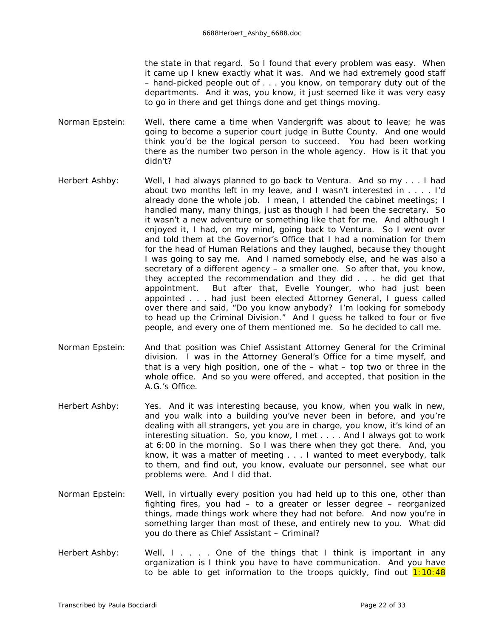the state in that regard. So I found that every problem was easy. When it came up I knew *exactly* what it was. And we had *extremely* good staff – hand-picked people out of . . . you know, on temporary duty out of the departments. And it was, you know, it just seemed like it was very easy to go in there and get things done and get things moving.

- Norman Epstein: Well, there came a time when Vandergrift was about to leave; he was going to become a superior court judge in Butte County. And one would think you'd be the logical person to succeed. You had been working there as the number two person in the whole agency. How is it that you didn't?
- Herbert Ashby: Well, I had always planned to go back to Ventura. And so my . . . I had about two months left in my leave, and I wasn't interested in . . . . I'd already done the whole job. I mean, I attended the cabinet meetings; I handled many, many things, just as though I *had* been the secretary. So it wasn't a new adventure or something like that for me. And although I enjoyed it, I had, on my mind, going back to Ventura. So I went over and told them at the Governor's Office that I had a nomination for them for the head of Human Relations and they laughed, because they thought I was going to say *me*. And I named somebody else, and he was also a secretary of a different agency – a smaller one. So after that, you know, they accepted the recommendation and they did . . . he did get that appointment. But after that, Evelle Younger, who had just been appointed . . . had just been elected Attorney General, I guess called over there and said, "Do you know anybody? I'm looking for somebody to head up the Criminal Division." And I guess he talked to four or five people, and every one of them mentioned me. So he decided to call me.
- Norman Epstein: And that position was Chief Assistant Attorney General for the Criminal division. I was in the Attorney General's Office for a time myself, and that is a *very* high position, one of the – what – top two or three in the whole office. And so you were offered, and accepted, that position in the A.G.'s Office.
- Herbert Ashby: Yes. And it was interesting because, you know, when you walk in new, and you walk into a building you've never been in before, and you're dealing with all strangers, yet you are in charge, you know, it's kind of an interesting situation. So, you know, I met . . . . And I always got to work at 6:00 in the morning. So I was there when they got there. And, you know, it was a matter of meeting . . . I wanted to meet everybody, talk to them, and find out, you know, evaluate our personnel, see what our problems were. And I did that.
- Norman Epstein: Well, in virtually every position you had held up to this one, other than fighting fires, you had – to a greater or lesser degree – reorganized things, made things work where they had not before. And now you're in something larger than most of these, and entirely new to you. What did you do there as Chief Assistant – Criminal?
- Herbert Ashby: Well, I . . . . One of the things that I think is important in any organization is I think you have to have communication. And you have to be able to get information to the troops quickly, find out  $1:10:48$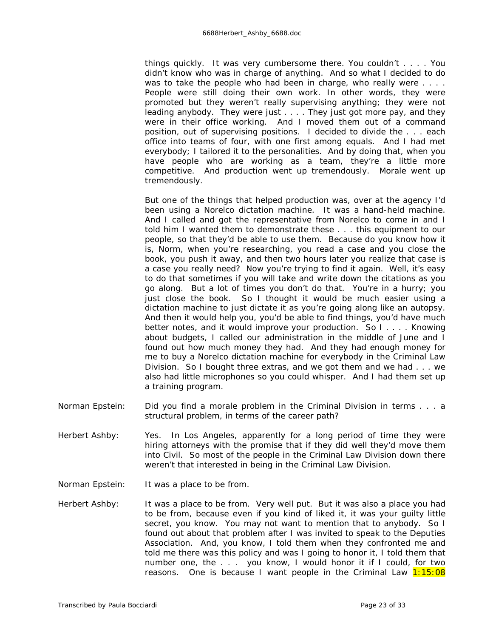things quickly. It was very cumbersome there. You couldn't . . . . You didn't know who was in charge of anything. And so what I decided to do was to take the people who had been in charge, who really were . . . . People were still doing their own work. In other words, they were promoted but they weren't really supervising anything; they were not leading anybody. They were just . . . . They just got more pay, and they were in their office working. And I moved them out of a command position, out of supervising positions. I decided to divide the . . . each office into teams of four, with one first among equals. And I had met everybody; I tailored it to the personalities. And by doing that, when you have people who are working as a team, they're a little more competitive. And production went up tremendously. Morale went up tremendously.

But one of the things that helped production was, over at the agency I'd been using a Norelco dictation machine. It was a hand-held machine. And I called and got the representative from Norelco to come in and I told him I wanted them to demonstrate these . . . this equipment to our people, so that they'd be able to use them. Because do you know how it is, Norm, when you're researching, you read a case and you close the book, you push it away, and then two hours later you realize that case is a case you really need? Now you're trying to find it again. Well, it's easy to do that sometimes if you will take and write down the citations as you go along. But a lot of times you don't do that. You're in a hurry; you just close the book. So I thought it would be much easier using a dictation machine to just dictate it as you're going along like an autopsy. And then it would help you, you'd be able to find things, you'd have much better notes, and it would improve your production. So I . . . . Knowing about budgets, I called our administration in the middle of June and I found out how much money they had. And they had enough money for me to buy a Norelco dictation machine for everybody in the Criminal Law Division. So I bought three extras, and we got them and we had . . . we also had little microphones so you could whisper. And I had them set up a training program.

- Norman Epstein: Did you find a morale problem in the Criminal Division in terms . . . a structural problem, in terms of the career path?
- Herbert Ashby: Yes. In Los Angeles, apparently for a long period of time they were hiring attorneys with the promise that if they did well they'd move them into Civil. So most of the people in the Criminal Law Division down there weren't that interested in being in the Criminal Law Division.
- Norman Epstein: It was a place to be *from*.
- Herbert Ashby: It was a place to be from. Very well put. But it was also a place you *had* to be from, because even if you kind of liked it, it was your guilty little secret, you know. You may not want to mention that to anybody. So I found out about that problem after I was invited to speak to the Deputies Association. And, you know, I told them when they confronted me and told me there was this policy and was I going to honor it, I told them that number one, the . . . you know, I would honor it if I could, for two reasons. One is because I want people in the Criminal Law  $1:15:08$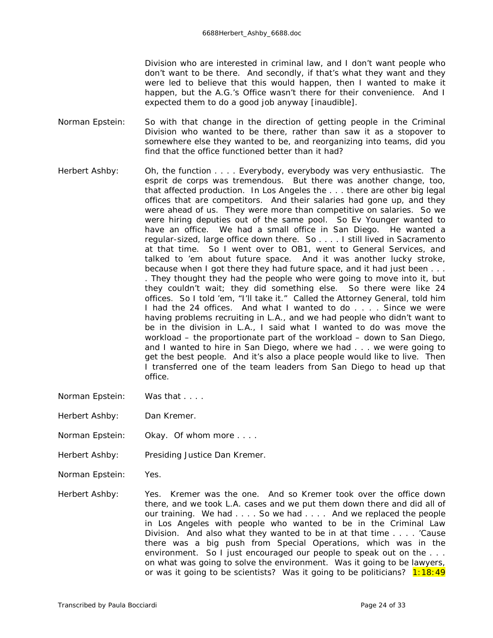Division who are interested in criminal law, and I don't want people who don't want to be there. And secondly, if that's what they want and they were led to believe that this would happen, then I wanted to make it happen, but the A.G.'s Office wasn't there for their convenience. And I expected them to do a good job anyway *[inaudible]*.

- Norman Epstein: So with that change in the direction of getting people in the Criminal Division who wanted to be there, rather than saw it as a stopover to somewhere else they wanted to be, and reorganizing into teams, did you find that the office functioned better than it had?
- Herbert Ashby: Oh, the function . . . . Everybody, *everybody* was very enthusiastic. The esprit de corps was tremendous. But there was another change, too, that affected production. In Los Angeles the . . . there are other big legal offices that are competitors. And their salaries had gone up, and they were ahead of us. They were more than competitive on salaries. So we were hiring deputies out of the same pool. So Ev Younger wanted to have an office. We had a small office in San Diego. He wanted a regular-sized, large office down there. So . . . . I still lived in Sacramento at that time. So I went over to OB1, went to General Services, and talked to 'em about future space. And it was another lucky stroke, because when I got there they *had* future space, and it had just been . . . . They thought they had the people who were going to move into it, but they couldn't wait; they did something else. So there were like 24 offices. So I told 'em, "I'll take it." Called the Attorney General, told him I had the 24 offices. And what I wanted to do . . . . Since we were having problems recruiting in L.A., and we had people who didn't want to be in the division in L.A., I said what I wanted to do was move the workload – the proportionate part of the workload – down to San Diego, and I wanted to hire in San Diego, where we had . . . we were going to get the best people. And it's also a place people would like to live. Then I transferred one of the team leaders from San Diego to head up that office.
- Norman Epstein: Was that . . . .

Herbert Ashby: Dan Kremer.

- Norman Epstein: Okay. Of whom more . . . .
- Herbert Ashby: Presiding Justice Dan Kremer.

Norman Epstein: Yes.

Herbert Ashby: Yes. Kremer was the one. And so Kremer took over the office down there, and we took L.A. cases and we put them down there and did all of our training. We had . . . . So we had . . . . And we replaced the people in Los Angeles with people who wanted to be in the Criminal Law Division. And also what they wanted to be in at that time . . . . 'Cause there was a big push from Special Operations, which was in the environment. So I just encouraged our people to speak out on the . . . on what was going to solve the environment. Was it going to be lawyers, or was it going to be scientists? Was it going to be politicians?  $1:18:49$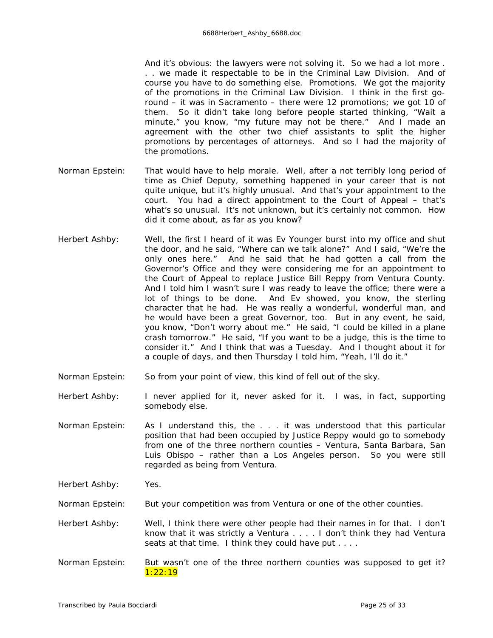And it's obvious: the lawyers were not solving it. So we had a lot more . . . we made it respectable to be in the Criminal Law Division. And of course you have to do something else. Promotions. We got the majority of the promotions in the Criminal Law Division. I think in the first goround – it was in Sacramento – there were 12 promotions; we got 10 of them. So it didn't take long before people started thinking, "Wait a minute," you know, "my future may not be there." And I made an agreement with the other two chief assistants to split the higher promotions by percentages of attorneys. And so I had the majority of the promotions.

- Norman Epstein: That would *have* to help morale. Well, after a not terribly long period of time as Chief Deputy, something happened in your career that is not quite unique, but it's highly unusual. And that's your appointment to the court. You had a direct appointment to the Court of Appeal – that's what's so unusual. It's not unknown, but it's certainly not common. How did it come about, as far as you know?
- Herbert Ashby: Well, the first I heard of it was Ev Younger burst into my office and shut the door, and he said, "Where can we talk alone?" And I said, "We're the only ones here." And he said that he had gotten a call from the Governor's Office and they were considering me for an appointment to the Court of Appeal to replace Justice Bill Reppy from Ventura County. And I told him I wasn't sure I was ready to leave the office; there were a lot of things to be done. And Ev showed, you know, the sterling character that he had. He was really a wonderful, wonderful man, and he would have been a great Governor, too. But in any event, he said, you know, "Don't worry about me." He said, "I could be killed in a plane crash tomorrow." He said, "If you want to be a judge, this is the time to consider it." And I think that was a Tuesday. And I thought about it for a couple of days, and then Thursday I told him, "Yeah, I'll do it."
- Norman Epstein: So from your point of view, this kind of fell out of the sky.

Herbert Ashby: I never applied for it, never asked for it. I was, in fact, supporting somebody else.

- Norman Epstein: As I understand this, the . . . it was understood that this particular position that had been occupied by Justice Reppy would go to somebody from one of the three northern counties – Ventura, Santa Barbara, San Luis Obispo – rather than a Los Angeles person. So you were still regarded as being from Ventura.
- Herbert Ashby: Yes.

Norman Epstein: But your competition was from Ventura or one of the other counties.

- Herbert Ashby: Well, I think there were other people had their names in for that. I don't know that it was strictly a Ventura . . . . I don't think they had Ventura seats at that time. I think they could have put . . . .
- Norman Epstein: But wasn't one of the three northern counties was supposed to get it? 1:22:19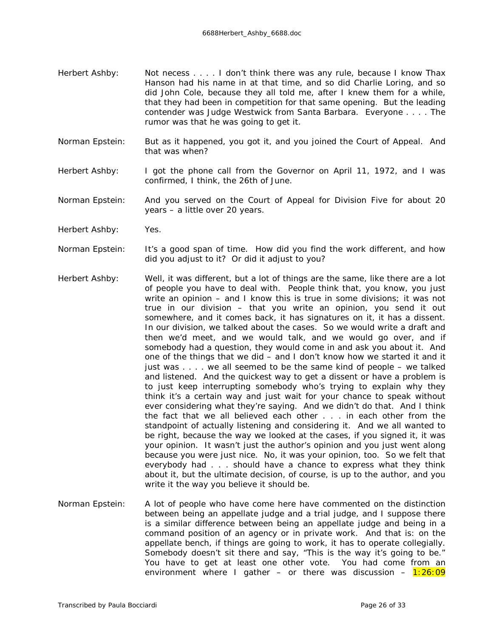- Herbert Ashby: Not necess . . . . I don't think there was any *rule*, because I know Thax Hanson had his name in at that time, and so did Charlie Loring, and so did John Cole, because they all told me, after I knew them for a while, that they had been in competition for that same opening. But the leading contender was Judge Westwick from Santa Barbara. Everyone . . . . The rumor was that he was going to get it.
- Norman Epstein: But as it happened, you got it, and you joined the Court of Appeal. And that was when?
- Herbert Ashby: I got the phone call from the Governor on April 11, 1972, and I was confirmed, I think, the 26th of June.
- Norman Epstein: And you served on the Court of Appeal for Division Five for about 20 years – a little over 20 years.
- Herbert Ashby: Yes.
- Norman Epstein: It's a good span of time. How did you find the work different, and how did you adjust to it? Or did it adjust to *you?*
- Herbert Ashby: Well, it was different, but a lot of things are the same, like there are a lot of people you have to deal with. People think that, you know, you just write an opinion – and I know this is true in some divisions; it was not true in our division – that you write an opinion, you send it out somewhere, and it comes back, it has signatures on it, it has a dissent. In our division, we talked about the cases. So we would write a draft and then we'd meet, and we would talk, and we would go over, and if somebody had a question, they would come in and ask you about it. And one of the things that we did – and I don't know how we started it and it just was . . . . we all seemed to be the same kind of people – we talked and listened. And the quickest way to get a dissent or have a problem is to just keep interrupting somebody who's trying to explain why they think it's a certain way and just wait for your chance to speak without ever considering what they're saying. And we didn't do that. And I think the fact that we all believed each other . . . in each other from the standpoint of actually listening and considering it. And we all wanted to be right, because the way we looked at the cases, if you signed it, it was your opinion. It wasn't just the author's opinion and you just went along because you were just nice. No, it was your opinion, too. So we felt that everybody had . . . should have a chance to express what they think about it, but the ultimate decision, of course, is up to the author, and you write it the way you believe it should be.
- Norman Epstein: A lot of people who have come here have commented on the distinction between being an appellate judge and a trial judge, and I suppose there is a similar difference between being an appellate judge and being in a command position of an agency or in private work. And that is: on the appellate bench, if things are going to work, it has to operate collegially. Somebody doesn't sit there and say, "This is the way it's going to be." You have to get at least one other vote. You had come from an environment where I gather – or there was discussion –  $1:26:09$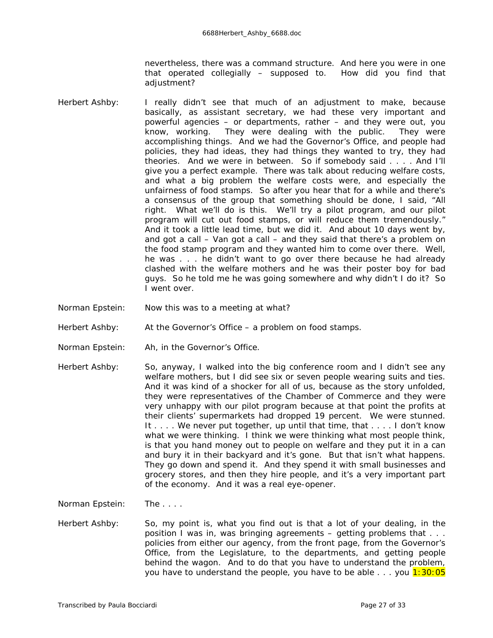nevertheless, there was a command structure. And here you were in one that operated collegially – supposed to. How did you find that adjustment?

- Herbert Ashby: I really didn't see that much of an adjustment to make, because basically, as assistant secretary, we had these very important and powerful agencies – or departments, rather – and they were out, you know, working. They were dealing with the public. They were accomplishing things. And we had the Governor's Office, and people had policies, they had ideas, they had things they wanted to try, they had theories. And we were in between. So if somebody said . . . . And I'll give you a perfect example. There was talk about reducing welfare costs, and what a big problem the welfare costs were, and especially the unfairness of food stamps. So after you hear that for a while and there's a consensus of the group that something should be done, I said, "All right. What we'll do is this. We'll try a pilot program, and our pilot program will cut out food stamps, or will reduce them tremendously." And it took a little lead time, but we did it. And about 10 days went by, and got a call – Van got a call – and they said that there's a problem on the food stamp program and they wanted him to come over there. Well, he was . . . he didn't want to go over there because he had already clashed with the welfare mothers and he was their poster boy for bad guys. So he told me he was going somewhere and why didn't I do it? So I went over.
- Norman Epstein: Now this was to a meeting at what?
- Herbert Ashby: At the Governor's Office a problem on food stamps.
- Norman Epstein: Ah, in the Governor's Office.
- Herbert Ashby: So, anyway, I walked into the big conference room and I didn't see any welfare mothers, but I did see six or seven people wearing suits and ties. And it was kind of a shocker for all of us, because as the story unfolded, they were representatives of the Chamber of Commerce and they were *very* unhappy with our pilot program because at that point the profits at their clients' supermarkets had dropped 19 percent. We were stunned. It . . . . We never put together, up until that time, that . . . . I don't know what we were thinking. I think we were thinking what most people think, is that you hand money out to people on welfare and they put it in a can and bury it in their backyard and it's gone. But that isn't what happens. They go down and spend it. And they spend it with small businesses and grocery stores, and then they hire people, and it's a very important part of the economy. And it was a real eye-opener.

Norman Epstein: The . . . .

Herbert Ashby: So, my point is, what you find out is that a lot of your dealing, in the position I was in, was bringing agreements – getting problems that . . . policies from either our agency, from the front page, from the Governor's Office, from the Legislature, to the departments, and getting people behind the wagon. And to do that you have to understand the problem, you have to understand the people, you have to be able  $\dots$  you  $1:30:05$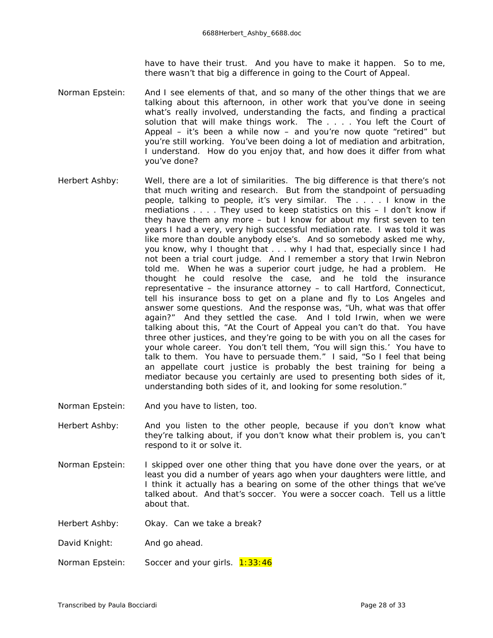have to have their trust. And you have to make it happen. So to me, there wasn't that big a difference in going to the Court of Appeal.

Norman Epstein: And I see elements of that, and so many of the other things that we are talking about this afternoon, in other work that you've done in seeing what's really involved, understanding the facts, and finding a practical solution that will make things work. The . . . . You left the Court of Appeal – it's been a while now – and you're now quote "retired" but you're still working. You've been doing a lot of mediation and arbitration, I understand. How do you enjoy that, and how does it differ from what you've done?

- Herbert Ashby: Well, there are a lot of similarities. The big difference is that there's not that much writing and research. But from the standpoint of persuading people, talking to people, it's very similar. The . . . . I know in the mediations . . . . They used to keep statistics on this – I don't know if they have them any more – but I know for about my first seven to ten years I had a very, very high successful mediation rate. I was told it was like more than double anybody else's. And so somebody asked me why, you know, why I thought that . . . why I had that, especially since I had not been a trial court judge. And I remember a story that Irwin Nebron told me. When he was a superior court judge, he had a problem. He thought he could resolve the case, and he told the insurance representative – the insurance attorney – to call Hartford, Connecticut, tell his insurance boss to get on a plane and fly to Los Angeles and answer some questions. And the response was, "Uh, what was that offer again?" And they settled the case. And I told Irwin, when we were talking about this, "At the Court of Appeal you can't do that. You have three other justices, and they're going to be with you on all the cases for your whole career. You don't tell them, 'You *will* sign this.' You have to talk to them. You have to persuade them." I said, "So I feel that being an appellate court justice is probably the best training for being a mediator because you certainly are used to presenting both sides of it, understanding both sides of it, and looking for some resolution."
- Norman Epstein: And you have to listen, too.
- Herbert Ashby: And you listen to the other people, because if you don't know what they're talking about, if you don't know what their problem is, you can't respond to it or solve it.
- Norman Epstein: I skipped over one other thing that you have done over the years, or at least you did a number of years ago when your daughters were little, and I think it actually has a bearing on some of the other things that we've talked about. And that's soccer. You were a soccer coach. Tell us a little about that.
- Herbert Ashby: Okay. Can we take a break?

David Knight: And go ahead.

Norman Epstein: Soccer and your girls.  $1:33:46$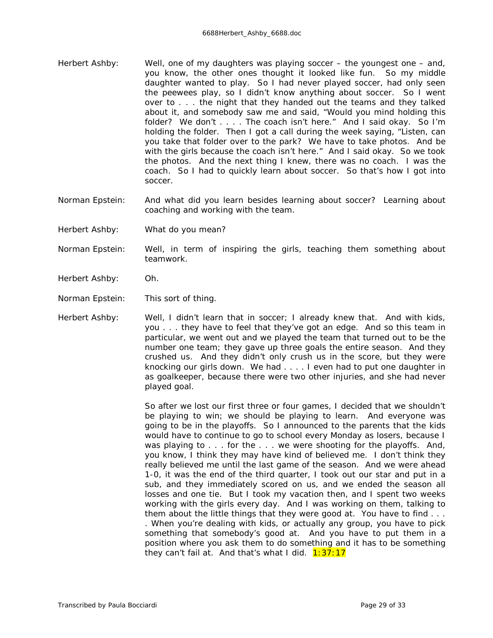- Herbert Ashby: Well, one of my daughters was playing soccer the youngest one and, you know, the other ones thought it looked like fun. So my middle daughter wanted to play. So I had never played soccer, had only seen the peewees play, so I didn't know anything about soccer. So I went over to . . . the night that they handed out the teams and they talked about it, and somebody saw me and said, "Would you mind holding this folder? We don't . . . . The coach isn't here." And I said okay. So I'm holding the folder. Then I got a call during the week saying, "Listen, can you take that folder over to the park? We have to take photos. And be with the girls because the coach isn't here." And I said okay. So we took the photos. And the next thing I knew, there *was* no coach. *I* was the coach. So I had to quickly learn about soccer. So that's how I got into soccer.
- Norman Epstein: And what did you learn besides learning about soccer? Learning about coaching and working with the team.
- Herbert Ashby: What do you mean?
- Norman Epstein: Well, in term of inspiring the girls, teaching them something about teamwork.
- Herbert Ashby: Oh.
- Norman Epstein: This sort of thing.

Herbert Ashby: Well, I didn't learn that in soccer; I already knew that. And with kids, you . . . they have to feel that they've got an edge. And so this team in particular, we went out and we played the team that turned out to be the number one team; they gave up three goals the entire season. And they *crushed* us. And they didn't only crush us in the score, but they were knocking our girls down. We had . . . . I even had to put one daughter in as goalkeeper, because there were two other injuries, and she had never played goal.

> So after we lost our first three or four games, I decided that we shouldn't be playing to win; we should be playing to learn. And everyone was going to be in the playoffs. So I announced to the parents that the kids would have to continue to go to school every Monday as losers, because I was playing to . . . for the . . . we were shooting for the playoffs. And, you know, I think they may have kind of believed me. I don't think they *really* believed me until the last game of the season. And we were ahead 1-0, it was the end of the third quarter, I took out our star and put in a sub, and they immediately scored on us, and we ended the season all losses and one tie. But I took my vacation then, and I spent two weeks working with the girls every day. And I was working on them, talking to them about the little things that they were good at. You have to find . . . . When you're dealing with kids, or actually any group, you have to pick something that somebody's good at. And you have to put them in a position where you ask them to do something and it has to be something they can't fail at. And that's what I did.  $1:37:17$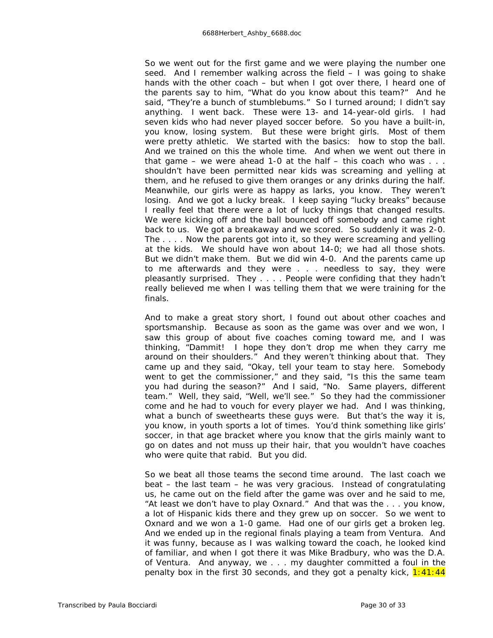So we went out for the first game and we were playing the number one seed. And I remember walking across the field – I was going to shake hands with the other coach – but when I got over there, I heard one of the parents say to him, "What do you know about this team?" And he said, "They're a bunch of stumblebums." So I turned around; I didn't say anything. I went back. These were 13- and 14-year-old girls. I had seven kids who had never played soccer before. So you have a built-in, you know, losing system. But these were bright girls. Most of them were pretty athletic. We started with the basics: how to stop the ball. And we trained on this the whole time. And when we went out there in that game – we were ahead 1-0 at the half – this coach who was  $\dots$ shouldn't have been permitted near kids was *screaming* and yelling at them, and he refused to give them oranges or any drinks during the half. Meanwhile, our girls were as happy as larks, you know. They weren't losing. And we got a lucky break. I keep saying "lucky breaks" because I really feel that there were a lot of lucky things that changed results. We were kicking off and the ball bounced off somebody and came right back to us. We got a breakaway and we scored. So suddenly it was 2-0. The . . . . Now the *parents* got into it, so they were screaming and yelling at the kids. We should have won about 14-0; we had all those shots. But we didn't make them. But we did win 4-0. And the parents came up to me afterwards and they were . . . needless to say, they were pleasantly surprised. They . . . . People were confiding that they hadn't really believed me when I was telling them that we were training for the finals.

And to make a great story short, I found out about other coaches and sportsmanship. Because as soon as the game was over and we won, I saw this group of about five coaches coming toward me, and I was thinking, "Dammit! I hope they don't drop me when they carry me around on their shoulders." And they weren't thinking about that. They came up and they said, "Okay, tell your team to stay here. Somebody went to get the commissioner," and they said, "Is this the same team you had during the season?" And I said, "No. Same players, different team." Well, they said, "Well, we'll see." So they had the commissioner come and he had to vouch for every player we had. And I was thinking, what a bunch of sweethearts these guys were. But that's the way it is, you know, in youth sports a lot of times. You'd think something like girls' soccer, in that age bracket where you know that the girls mainly want to go on dates and not muss up their hair, that you wouldn't have coaches who were quite that rabid. But you did.

So we beat all those teams the second time around. The last coach we beat – the last team – he was very gracious. Instead of congratulating us, he came out on the field after the game was over and he said to me, "At least we don't have to play Oxnard." And that was the . . . you know, a lot of Hispanic kids there and they grew up on soccer. So we went to Oxnard and we won a 1-0 game. Had one of our girls get a broken leg. And we ended up in the regional finals playing a team from Ventura. And it was funny, because as I was walking toward the coach, he looked kind of familiar, and when I got there it was Mike Bradbury, who was the D.A. of Ventura. And anyway, we . . . my daughter committed a foul in the penalty box in the first 30 seconds, and they got a penalty kick,  $1:41:44$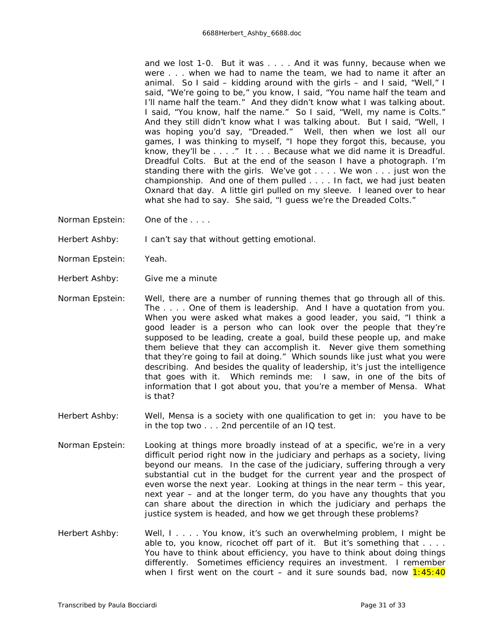and we lost 1-0. But it was . . . . And it was funny, because when we were . . . when we had to name the team, we had to name it after an animal. So I said – kidding around with the girls – and I said, "Well," I said, "We're going to be," you know, I said, "You name half the team and I'll name half the team." And they didn't know what I was talking about. I said, "You know, half the name." So I said, "Well, my name is Colts." And they still didn't know what I was talking about. But I said, "Well, I was hoping you'd say, "Dreaded." Well, then when we lost all our games, I was thinking to myself, "I hope they forgot this, because, you know, they'll be . . . ." It . . . Because what we did name it is Dreadful. Dreadful Colts. But at the end of the season I have a photograph. I'm standing there with the girls. We've got . . . . We won . . . just won the championship. And one of them pulled . . . . In fact, we had just beaten Oxnard that day. A little girl pulled on my sleeve. I leaned over to hear what she had to say. She said, "I guess we're the Dreaded Colts."

Norman Epstein: One of the . . . .

Herbert Ashby: I can't say that without getting emotional.

- Norman Epstein: Yeah.
- Herbert Ashby: Give me a minute
- Norman Epstein: Well, there are a number of running themes that go through all of this. The . . . . One of them is leadership. And I have a quotation from you. When you were asked what makes a good leader, you said, "I think a good leader is a person who can look over the people that they're supposed to be leading, create a goal, build these people up, and make them believe that they can accomplish it. Never give them something that they're going to fail at doing." Which sounds like just what you were describing. And besides the quality of leadership, it's just the intelligence that goes with it. Which reminds me: I saw, in one of the bits of information that I got about you, that you're a member of Mensa. What is that?
- Herbert Ashby: Well, Mensa is a society with one qualification to get in: you have to be in the top two . . . 2nd percentile of an IQ test.
- Norman Epstein: Looking at things more broadly instead of at a specific, we're in a very difficult period right now in the judiciary and perhaps as a society, living beyond our means. In the case of the judiciary, suffering through a very substantial cut in the budget for the current year and the prospect of even worse the next year. Looking at things in the near term – this year, next year – and at the longer term, do you have any thoughts that you can share about the direction in which the judiciary and perhaps the justice system is headed, and how we get through these problems?
- Herbert Ashby: Well, I.... You know, it's such an overwhelming problem, I might be able to, you know, ricochet off part of it. But it's something that . . . . You have to think about efficiency, you have to think about doing things differently. Sometimes efficiency requires an investment. I remember when I first went on the court – and it sure sounds bad, now  $1:45:40$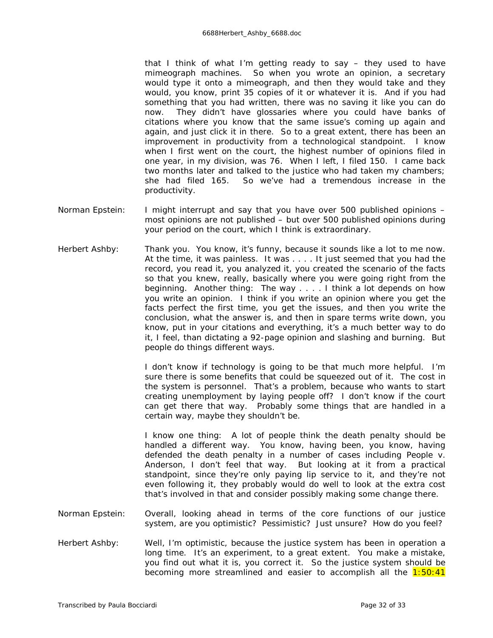that I think of what I'm getting ready to say – they used to have mimeograph machines. So when you wrote an opinion, a secretary would type it onto a mimeograph, and then they would take and they would, you know, print 35 copies of it or whatever it is. And if you had something that you had written, there was no saving it like you can do now. They didn't have glossaries where you could have banks of citations where you know that the same issue's coming up again and again, and just click it in there. So to a great extent, there has been an improvement in productivity from a technological standpoint. I know when I first went on the court, the highest number of opinions filed in one year, in my division, was 76. When I left, I filed 150. I came back two months later and talked to the justice who had taken my chambers; she had filed 165. So we've had a tremendous increase in the productivity.

- Norman Epstein: I might interrupt and say that you have over 500 *published* opinions most opinions are not published – but over 500 published opinions during your period on the court, which I think is extraordinary.
- Herbert Ashby: Thank you. You know, it's funny, because it sounds like a lot to me now. At the time, it was painless. It was . . . . It just seemed that you had the record, you read it, you analyzed it, you created the scenario of the facts so that you knew, really, basically where you were going right from the beginning. Another thing: The way . . . . I think a lot depends on how you write an opinion. I think if you write an opinion where you get the facts perfect the first time, you get the issues, and then you write the conclusion, what the answer is, and then in spare terms write down, you know, put in your citations and everything, it's a much better way to do it, I feel, than dictating a 92-page opinion and slashing and burning. But people do things different ways.

I don't know if technology is going to be that much more helpful. I'm sure there is some benefits that could be squeezed out of it. The cost in the system is personnel. That's a problem, because who wants to start creating unemployment by laying people off? I don't know if the court can get there that way. Probably some things that are handled in a certain way, maybe they shouldn't be.

I know one thing: A lot of people think the death penalty should be handled a different way. You know, having been, you know, having defended the death penalty in a number of cases including *People v. Anderson,* I don't feel that way. But looking at it from a practical standpoint, since they're only paying lip service to it, and they're not even following it, they probably would do well to look at the extra cost that's involved in that and consider possibly making some change there.

- Norman Epstein: Overall, looking ahead in terms of the core functions of our justice system, are you optimistic? Pessimistic? Just unsure? How do you feel?
- Herbert Ashby: Well, I'm optimistic, because the justice system has been in operation a long time. It's an experiment, to a great extent. You make a mistake, you find out what it is, you correct it. So the justice system should be becoming more streamlined and easier to accomplish all the  $1:50:41$